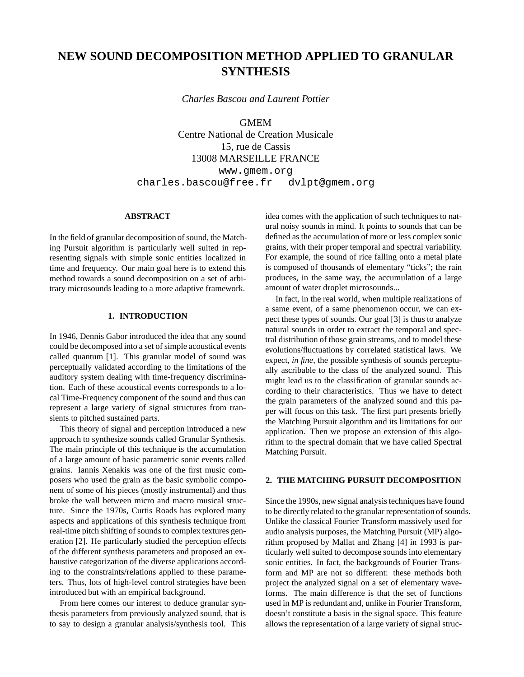# **NEW SOUND DECOMPOSITION METHOD APPLIED TO GRANULAR SYNTHESIS**

*Charles Bascou and Laurent Pottier*

GMEM Centre National de Creation Musicale

15, rue de Cassis

13008 MARSEILLE FRANCE

www.gmem.org

charles.bascou@free.fr dvlpt@gmem.org

# **ABSTRACT**

In the field of granular decomposition of sound, the Matching Pursuit algorithm is particularly well suited in representing signals with simple sonic entities localized in time and frequency. Our main goal here is to extend this method towards a sound decomposition on a set of arbitrary microsounds leading to a more adaptive framework.

# **1. INTRODUCTION**

In 1946, Dennis Gabor introduced the idea that any sound could be decomposed into a set of simple acoustical events called quantum [1]. This granular model of sound was perceptually validated according to the limitations of the auditory system dealing with time-frequency discrimination. Each of these acoustical events corresponds to a local Time-Frequency component of the sound and thus can represent a large variety of signal structures from transients to pitched sustained parts.

This theory of signal and perception introduced a new approach to synthesize sounds called Granular Synthesis. The main principle of this technique is the accumulation of a large amount of basic parametric sonic events called grains. Iannis Xenakis was one of the first music composers who used the grain as the basic symbolic component of some of his pieces (mostly instrumental) and thus broke the wall between micro and macro musical structure. Since the 1970s, Curtis Roads has explored many aspects and applications of this synthesis technique from real-time pitch shifting of sounds to complex textures generation [2]. He particularly studied the perception effects of the different synthesis parameters and proposed an exhaustive categorization of the diverse applications according to the constraints/relations applied to these parameters. Thus, lots of high-level control strategies have been introduced but with an empirical background.

From here comes our interest to deduce granular synthesis parameters from previously analyzed sound, that is to say to design a granular analysis/synthesis tool. This idea comes with the application of such techniques to natural noisy sounds in mind. It points to sounds that can be defined as the accumulation of more or less complex sonic grains, with their proper temporal and spectral variability. For example, the sound of rice falling onto a metal plate is composed of thousands of elementary "ticks"; the rain produces, in the same way, the accumulation of a large amount of water droplet microsounds...

In fact, in the real world, when multiple realizations of a same event, of a same phenomenon occur, we can expect these types of sounds. Our goal [3] is thus to analyze natural sounds in order to extract the temporal and spectral distribution of those grain streams, and to model these evolutions/fluctuations by correlated statistical laws. We expect, *in fine*, the possible synthesis of sounds perceptually ascribable to the class of the analyzed sound. This might lead us to the classification of granular sounds according to their characteristics. Thus we have to detect the grain parameters of the analyzed sound and this paper will focus on this task. The first part presents briefly the Matching Pursuit algorithm and its limitations for our application. Then we propose an extension of this algorithm to the spectral domain that we have called Spectral Matching Pursuit.

## **2. THE MATCHING PURSUIT DECOMPOSITION**

Since the 1990s, new signal analysis techniques have found to be directly related to the granular representation of sounds. Unlike the classical Fourier Transform massively used for audio analysis purposes, the Matching Pursuit (MP) algorithm proposed by Mallat and Zhang [4] in 1993 is particularly well suited to decompose sounds into elementary sonic entities. In fact, the backgrounds of Fourier Transform and MP are not so different: these methods both project the analyzed signal on a set of elementary waveforms. The main difference is that the set of functions used in MP is redundant and, unlike in Fourier Transform, doesn't constitute a basis in the signal space. This feature allows the representation of a large variety of signal struc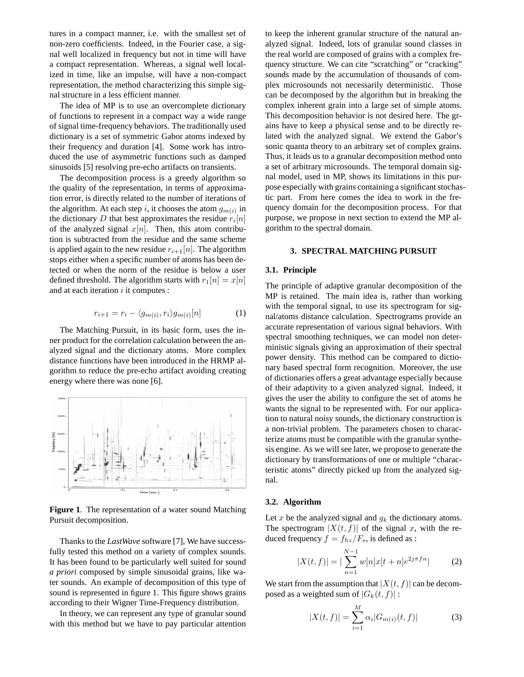tures in a compact manner, i.e. with the smallest set of non-zero coefficients. Indeed, in the Fourier case, a signal well localized in frequency but not in time will have a compact representation. Whereas, a signal well localized in time, like an impulse, will have a non-compact representation, the method characterizing this simple signal structure in a less efficient manner.

The idea of MP is to use an overcomplete dictionary of functions to represent in a compact way a wide range of signal time-frequency behaviors. The traditionally used dictionary is a set of symmetric Gabor atoms indexed by their frequency and duration [4]. Some work has introduced the use of asymmetric functions such as damped sinusoids [5] resolving pre-echo artifacts on transients.

The decomposition process is a greedy algorithm so the quality of the representation, in terms of approximation error, is directly related to the number of iterations of the algorithm. At each step i, it chooses the atom  $g_{m(i)}$  in the dictionary D that best approximates the residue  $r_i[n]$ of the analyzed signal  $x[n]$ . Then, this atom contribution is subtracted from the residue and the same scheme is applied again to the new residue  $r_{i+1}[n]$ . The algorithm stops either when a specific number of atoms has been detected or when the norm of the residue is below a user defined threshold. The algorithm starts with  $r_1[n] = x[n]$ and at each iteration  $i$  it computes :

$$
r_{i+1} = r_i - \langle g_{m(i)}, r_i \rangle g_{m(i)}[n] \tag{1}
$$

The Matching Pursuit, in its basic form, uses the inner product for the correlation calculation between the analyzed signal and the dictionary atoms. More complex distance functions have been introduced in the HRMP algorithm to reduce the pre-echo artifact avoiding creating energy where there was none [6].



**Figure 1**. The representation of a water sound Matching Pursuit decomposition.

Thanks to the *LastWave* software [7], We have successfully tested this method on a variety of complex sounds. It has been found to be particularly well suited for sound *a priori* composed by simple sinusoidal grains, like water sounds. An example of decomposition of this type of sound is represented in figure 1. This figure shows grains according to their Wigner Time-Frequency distribution.

In theory, we can represent any type of granular sound with this method but we have to pay particular attention to keep the inherent granular structure of the natural analyzed signal. Indeed, lots of granular sound classes in the real world are composed of grains with a complex frequency structure. We can cite "scratching" or "cracking" sounds made by the accumulation of thousands of complex microsounds not necessarily deterministic. Those can be decomposed by the algorithm but in breaking the complex inherent grain into a large set of simple atoms. This decomposition behavior is not desired here. The grains have to keep a physical sense and to be directly related with the analyzed signal. We extend the Gabor's sonic quanta theory to an arbitrary set of complex grains. Thus, it leads us to a granular decomposition method onto a set of arbitrary microsounds. The temporal domain signal model, used in MP, shows its limitations in this purpose especially with grains containing a significant stochastic part. From here comes the idea to work in the frequency domain for the decomposition process. For that purpose, we propose in next section to extend the MP algorithm to the spectral domain.

## **3. SPECTRAL MATCHING PURSUIT**

## **3.1. Principle**

The principle of adaptive granular decomposition of the MP is retained. The main idea is, rather than working with the temporal signal, to use its spectrogram for signal/atoms distance calculation. Spectrograms provide an accurate representation of various signal behaviors. With spectral smoothing techniques, we can model non deterministic signals giving an approximation of their spectral power density. This method can be compared to dictionary based spectral form recognition. Moreover, the use of dictionaries offers a great advantage especially because of their adaptivity to a given analyzed signal. Indeed, it gives the user the ability to configure the set of atoms he wants the signal to be represented with. For our application to natural noisy sounds, the dictionary construction is a non-trivial problem. The parameters chosen to characterize atoms must be compatible with the granular synthesis engine. As we will see later, we propose to generate the dictionary by transformations of one or multiple "characteristic atoms" directly picked up from the analyzed signal.

#### **3.2. Algorithm**

Let x be the analyzed signal and  $g_k$  the dictionary atoms. The spectrogram  $|X(t, f)|$  of the signal x, with the reduced frequency  $f = f_{hz}/F_s$ , is defined as :

$$
|X(t,f)| = |\sum_{n=1}^{N-1} w[n]x[t+n]e^{2j\pi fn}|
$$
 (2)

We start from the assumption that  $|X(t, f)|$  can be decomposed as a weighted sum of  $|G_k(t, f)|$ :

$$
|X(t,f)| = \sum_{i=1}^{M} \alpha_i |G_{m(i)}(t,f)| \tag{3}
$$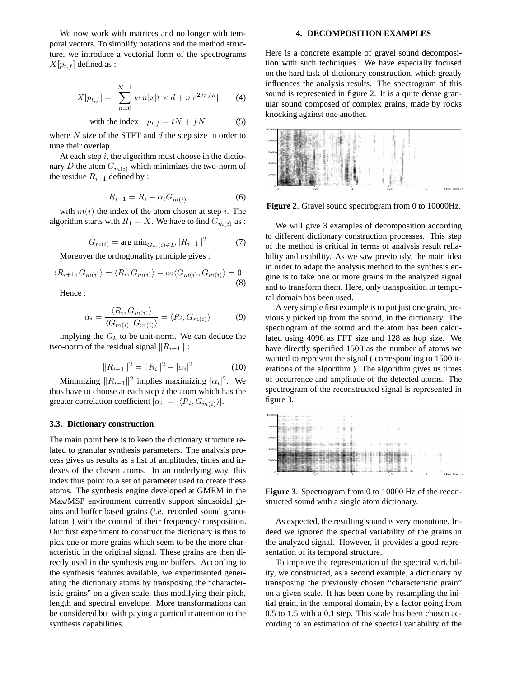We now work with matrices and no longer with temporal vectors. To simplify notations and the method structure, we introduce a vectorial form of the spectrograms  $X[p_{t,f}]$  defined as :

$$
X[p_{t,f}] = |\sum_{n=0}^{N-1} w[n]x[t \times d + n]e^{2j\pi fn}| \qquad (4)
$$

with the index 
$$
p_{t,f} = tN + fN
$$
 (5)

where  $N$  size of the STFT and  $d$  the step size in order to tune their overlap.

At each step  $i$ , the algorithm must choose in the dictionary D the atom  $G_{m(i)}$  which minimizes the two-norm of the residue  $R_{i+1}$  defined by :

$$
R_{i+1} = R_i - \alpha_i G_{m(i)} \tag{6}
$$

with  $m(i)$  the index of the atom chosen at step i. The algorithm starts with  $R_1 = X$ . We have to find  $G_{m(i)}$  as :

$$
G_{m(i)} = \arg\min_{G_m(i) \in D} ||R_{i+1}||^2 \tag{7}
$$

Moreover the orthogonality principle gives :

$$
\langle R_{i+1}, G_{m(i)} \rangle = \langle R_i, G_{m(i)} \rangle - \alpha_i \langle G_{m(i)}, G_{m(i)} \rangle = 0
$$
\n(8)

Hence :

$$
\alpha_i = \frac{\langle R_i, G_{m(i)} \rangle}{\langle G_{m(i)}, G_{m(i)} \rangle} = \langle R_i, G_{m(i)} \rangle \tag{9}
$$

implying the  $G_k$  to be unit-norm. We can deduce the two-norm of the residual signal  $||R_{i+1}||$ :

$$
||R_{i+1}||^2 = ||R_i||^2 - |\alpha_i|^2 \tag{10}
$$

Minimizing  $||R_{i+1}||^2$  implies maximizing  $|\alpha_i|^2$ . We thus have to choose at each step  $i$  the atom which has the greater correlation coefficient  $|\alpha_i| = |\langle R_i, G_{m(i)} \rangle|$ .

# **3.3. Dictionary construction**

The main point here is to keep the dictionary structure related to granular synthesis parameters. The analysis process gives us results as a list of amplitudes, times and indexes of the chosen atoms. In an underlying way, this index thus point to a set of parameter used to create these atoms. The synthesis engine developed at GMEM in the Max/MSP environment currently support sinusoidal grains and buffer based grains (*i.e.* recorded sound granulation ) with the control of their frequency/transposition. Our first experiment to construct the dictionary is thus to pick one or more grains which seem to be the more characteristic in the original signal. These grains are then directly used in the synthesis engine buffers. According to the synthesis features available, we experimented generating the dictionary atoms by transposing the "characteristic grains" on a given scale, thus modifying their pitch, length and spectral envelope. More transformations can be considered but with paying a particular attention to the synthesis capabilities.

## **4. DECOMPOSITION EXAMPLES**

Here is a concrete example of gravel sound decomposition with such techniques. We have especially focused on the hard task of dictionary construction, which greatly influences the analysis results. The spectrogram of this sound is represented in figure 2. It is a quite dense granular sound composed of complex grains, made by rocks knocking against one another.



**Figure 2**. Gravel sound spectrogram from 0 to 10000Hz.

We will give 3 examples of decomposition according to different dictionary construction processes. This step of the method is critical in terms of analysis result reliability and usability. As we saw previously, the main idea in order to adapt the analysis method to the synthesis engine is to take one or more grains in the analyzed signal and to transform them. Here, only transposition in temporal domain has been used.

A very simple first example is to put just one grain, previously picked up from the sound, in the dictionary. The spectrogram of the sound and the atom has been calculated using 4096 as FFT size and 128 as hop size. We have directly specified 1500 as the number of atoms we wanted to represent the signal ( corresponding to 1500 iterations of the algorithm ). The algorithm gives us times of occurrence and amplitude of the detected atoms. The spectrogram of the reconstructed signal is represented in figure 3.



**Figure 3**. Spectrogram from 0 to 10000 Hz of the reconstructed sound with a single atom dictionary.

As expected, the resulting sound is very monotone. Indeed we ignored the spectral variability of the grains in the analyzed signal. However, it provides a good representation of its temporal structure.

To improve the representation of the spectral variability, we constructed, as a second example, a dictionary by transposing the previously chosen "characteristic grain" on a given scale. It has been done by resampling the initial grain, in the temporal domain, by a factor going from 0.5 to 1.5 with a 0.1 step. This scale has been chosen according to an estimation of the spectral variability of the